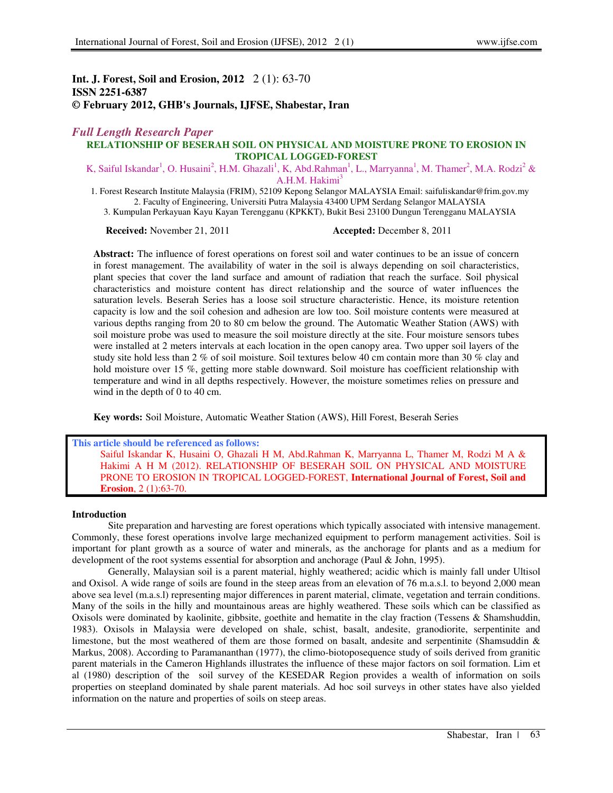## **Int. J. Forest, Soil and Erosion, 2012** 2 (1): 63-70 **ISSN 2251-6387 © February 2012, GHB's Journals, IJFSE, Shabestar, Iran**

# *Full Length Research Paper*

# **RELATIONSHIP OF BESERAH SOIL ON PHYSICAL AND MOISTURE PRONE TO EROSION IN TROPICAL LOGGED-FOREST**

K, Saiful Iskandar<sup>1</sup>, O. Husaini<sup>2</sup>, H.M. Ghazali<sup>1</sup>, K, Abd.Rahman<sup>1</sup>, L., Marryanna<sup>1</sup>, M. Thamer<sup>2</sup>, M.A. Rodzi<sup>2</sup> & A.H.M. Hakimi<sup>3</sup>

1. Forest Research Institute Malaysia (FRIM), 52109 Kepong Selangor MALAYSIA Email: saifuliskandar@frim.gov.my 2. Faculty of Engineering, Universiti Putra Malaysia 43400 UPM Serdang Selangor MALAYSIA

3. Kumpulan Perkayuan Kayu Kayan Terengganu (KPKKT), Bukit Besi 23100 Dungun Terengganu MALAYSIA

**Received:** November 21, 2011 **Accepted:** December 8, 2011

**Abstract:** The influence of forest operations on forest soil and water continues to be an issue of concern in forest management. The availability of water in the soil is always depending on soil characteristics, plant species that cover the land surface and amount of radiation that reach the surface. Soil physical characteristics and moisture content has direct relationship and the source of water influences the saturation levels. Beserah Series has a loose soil structure characteristic. Hence, its moisture retention capacity is low and the soil cohesion and adhesion are low too. Soil moisture contents were measured at various depths ranging from 20 to 80 cm below the ground. The Automatic Weather Station (AWS) with soil moisture probe was used to measure the soil moisture directly at the site. Four moisture sensors tubes were installed at 2 meters intervals at each location in the open canopy area. Two upper soil layers of the study site hold less than 2 % of soil moisture. Soil textures below 40 cm contain more than 30 % clay and hold moisture over 15 %, getting more stable downward. Soil moisture has coefficient relationship with temperature and wind in all depths respectively. However, the moisture sometimes relies on pressure and wind in the depth of 0 to 40 cm.

**Key words:** Soil Moisture, Automatic Weather Station (AWS), Hill Forest, Beserah Series

#### **This article should be referenced as follows:**

Saiful Iskandar K, Husaini O, Ghazali H M, Abd.Rahman K, Marryanna L, Thamer M, Rodzi M A & Hakimi A H M (2012). RELATIONSHIP OF BESERAH SOIL ON PHYSICAL AND MOISTURE PRONE TO EROSION IN TROPICAL LOGGED-FOREST, **International Journal of Forest, Soil and Erosion**, 2 (1):63-70.

#### **Introduction**

Site preparation and harvesting are forest operations which typically associated with intensive management. Commonly, these forest operations involve large mechanized equipment to perform management activities. Soil is important for plant growth as a source of water and minerals, as the anchorage for plants and as a medium for development of the root systems essential for absorption and anchorage (Paul & John, 1995).

Generally, Malaysian soil is a parent material, highly weathered; acidic which is mainly fall under Ultisol and Oxisol. A wide range of soils are found in the steep areas from an elevation of 76 m.a.s.l. to beyond 2,000 mean above sea level (m.a.s.l) representing major differences in parent material, climate, vegetation and terrain conditions. Many of the soils in the hilly and mountainous areas are highly weathered. These soils which can be classified as Oxisols were dominated by kaolinite, gibbsite, goethite and hematite in the clay fraction (Tessens & Shamshuddin, 1983). Oxisols in Malaysia were developed on shale, schist, basalt, andesite, granodiorite, serpentinite and limestone, but the most weathered of them are those formed on basalt, andesite and serpentinite (Shamsuddin & Markus, 2008). According to Paramananthan (1977), the climo-biotoposequence study of soils derived from granitic parent materials in the Cameron Highlands illustrates the influence of these major factors on soil formation. Lim et al (1980) description of the soil survey of the KESEDAR Region provides a wealth of information on soils properties on steepland dominated by shale parent materials. Ad hoc soil surveys in other states have also yielded information on the nature and properties of soils on steep areas.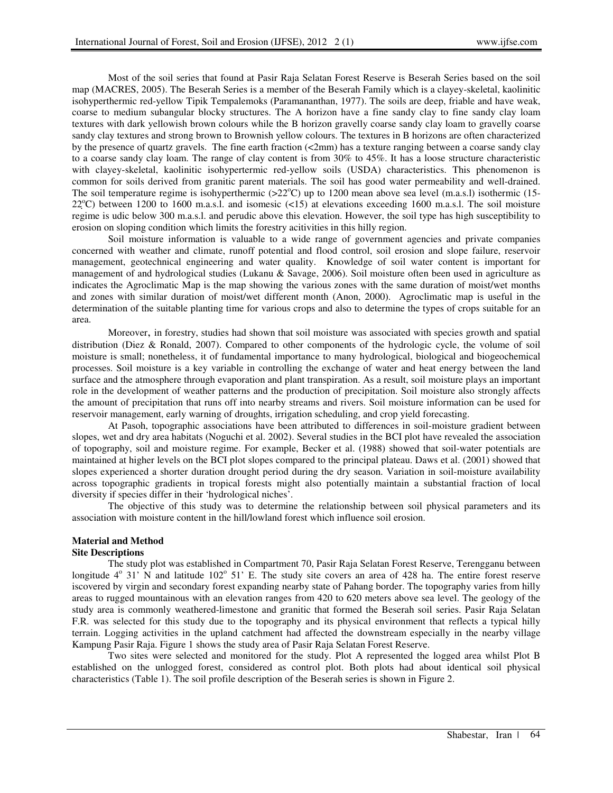Most of the soil series that found at Pasir Raja Selatan Forest Reserve is Beserah Series based on the soil map (MACRES, 2005). The Beserah Series is a member of the Beserah Family which is a clayey-skeletal, kaolinitic isohyperthermic red-yellow Tipik Tempalemoks (Paramananthan, 1977). The soils are deep, friable and have weak, coarse to medium subangular blocky structures. The A horizon have a fine sandy clay to fine sandy clay loam textures with dark yellowish brown colours while the B horizon gravelly coarse sandy clay loam to gravelly coarse sandy clay textures and strong brown to Brownish yellow colours. The textures in B horizons are often characterized by the presence of quartz gravels. The fine earth fraction  $\left($ <2mm) has a texture ranging between a coarse sandy clay to a coarse sandy clay loam. The range of clay content is from 30% to 45%. It has a loose structure characteristic with clayey-skeletal, kaolinitic isohypertermic red-yellow soils (USDA) characteristics. This phenomenon is common for soils derived from granitic parent materials. The soil has good water permeability and well-drained. The soil temperature regime is isohyperthermic  $(22^{\circ}C)$  up to 1200 mean above sea level (m.a.s.l) isothermic (15- $22^{\circ}$ C) between 1200 to 1600 m.a.s.l. and isomesic (<15) at elevations exceeding 1600 m.a.s.l. The soil moisture regime is udic below 300 m.a.s.l. and perudic above this elevation. However, the soil type has high susceptibility to erosion on sloping condition which limits the forestry acitivities in this hilly region.

Soil moisture information is valuable to a wide range of government agencies and private companies concerned with weather and climate, runoff potential and flood control, soil erosion and slope failure, reservoir management, geotechnical engineering and water quality. Knowledge of soil water content is important for management of and hydrological studies (Lukanu & Savage, 2006). Soil moisture often been used in agriculture as indicates the Agroclimatic Map is the map showing the various zones with the same duration of moist/wet months and zones with similar duration of moist/wet different month (Anon, 2000). Agroclimatic map is useful in the determination of the suitable planting time for various crops and also to determine the types of crops suitable for an area.

Moreover, in forestry, studies had shown that soil moisture was associated with species growth and spatial distribution (Diez & Ronald, 2007). Compared to other components of the hydrologic cycle, the volume of soil moisture is small; nonetheless, it of fundamental importance to many hydrological, biological and biogeochemical processes. Soil moisture is a key variable in controlling the exchange of water and heat energy between the land surface and the atmosphere through evaporation and plant transpiration. As a result, soil moisture plays an important role in the development of weather patterns and the production of precipitation. Soil moisture also strongly affects the amount of precipitation that runs off into nearby streams and rivers. Soil moisture information can be used for reservoir management, early warning of droughts, irrigation scheduling, and crop yield forecasting.

At Pasoh, topographic associations have been attributed to differences in soil-moisture gradient between slopes, wet and dry area habitats (Noguchi et al. 2002). Several studies in the BCI plot have revealed the association of topography, soil and moisture regime. For example, Becker et al. (1988) showed that soil-water potentials are maintained at higher levels on the BCI plot slopes compared to the principal plateau. Daws et al. (2001) showed that slopes experienced a shorter duration drought period during the dry season. Variation in soil-moisture availability across topographic gradients in tropical forests might also potentially maintain a substantial fraction of local diversity if species differ in their 'hydrological niches'.

The objective of this study was to determine the relationship between soil physical parameters and its association with moisture content in the hill/lowland forest which influence soil erosion.

## **Material and Method**

## **Site Descriptions**

The study plot was established in Compartment 70, Pasir Raja Selatan Forest Reserve, Terengganu between longitude  $4^{\circ}$  31' N and latitude 102 $^{\circ}$  51' E. The study site covers an area of 428 ha. The entire forest reserve iscovered by virgin and secondary forest expanding nearby state of Pahang border. The topography varies from hilly areas to rugged mountainous with an elevation ranges from 420 to 620 meters above sea level. The geology of the study area is commonly weathered-limestone and granitic that formed the Beserah soil series. Pasir Raja Selatan F.R. was selected for this study due to the topography and its physical environment that reflects a typical hilly terrain. Logging activities in the upland catchment had affected the downstream especially in the nearby village Kampung Pasir Raja. Figure 1 shows the study area of Pasir Raja Selatan Forest Reserve.

Two sites were selected and monitored for the study. Plot A represented the logged area whilst Plot B established on the unlogged forest, considered as control plot. Both plots had about identical soil physical characteristics (Table 1). The soil profile description of the Beserah series is shown in Figure 2.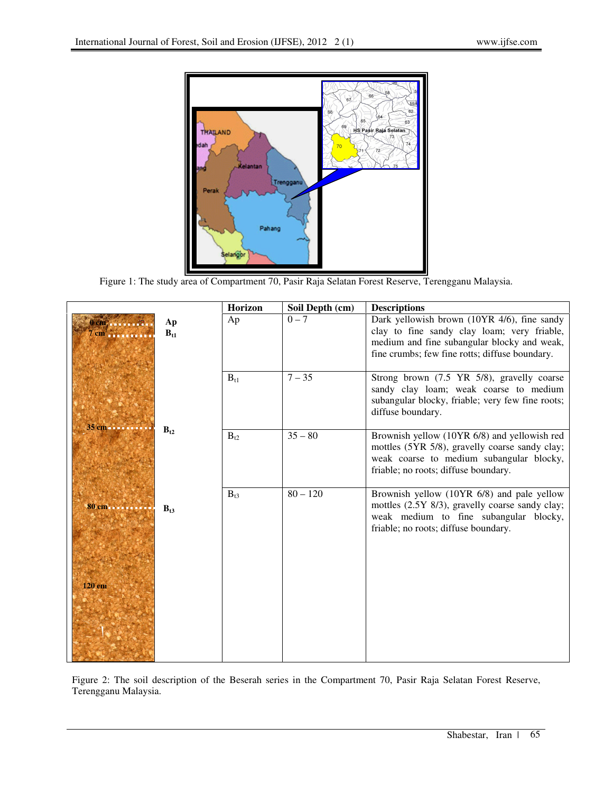

Figure 1: The study area of Compartment 70, Pasir Raja Selatan Forest Reserve, Terengganu Malaysia.

|                            |                | Horizon  | Soil Depth (cm) | <b>Descriptions</b>                                                                                                                                                                         |
|----------------------------|----------------|----------|-----------------|---------------------------------------------------------------------------------------------------------------------------------------------------------------------------------------------|
| 0 cm, 20<br>$7 \text{ cm}$ | Ap<br>$B_{t1}$ | Ap       | $0 - 7$         | Dark yellowish brown (10YR 4/6), fine sandy<br>clay to fine sandy clay loam; very friable,<br>medium and fine subangular blocky and weak,<br>fine crumbs; few fine rotts; diffuse boundary. |
|                            |                | $B_{t1}$ | $7 - 35$        | Strong brown (7.5 YR 5/8), gravelly coarse<br>sandy clay loam; weak coarse to medium<br>subangular blocky, friable; very few fine roots;<br>diffuse boundary.                               |
| 35 cm                      | $B_{12}$       | $B_{t2}$ | $35 - 80$       | Brownish yellow (10YR 6/8) and yellowish red<br>mottles (5YR 5/8), gravelly coarse sandy clay;<br>weak coarse to medium subangular blocky,<br>friable; no roots; diffuse boundary.          |
| 80 cm<br>120 cm            | $B_{13}$       | $B_{t3}$ | $80 - 120$      | Brownish yellow (10YR 6/8) and pale yellow<br>mottles (2.5Y 8/3), gravelly coarse sandy clay;<br>weak medium to fine subangular blocky,<br>friable; no roots; diffuse boundary.             |
|                            |                |          |                 |                                                                                                                                                                                             |

Figure 2: The soil description of the Beserah series in the Compartment 70, Pasir Raja Selatan Forest Reserve, Terengganu Malaysia.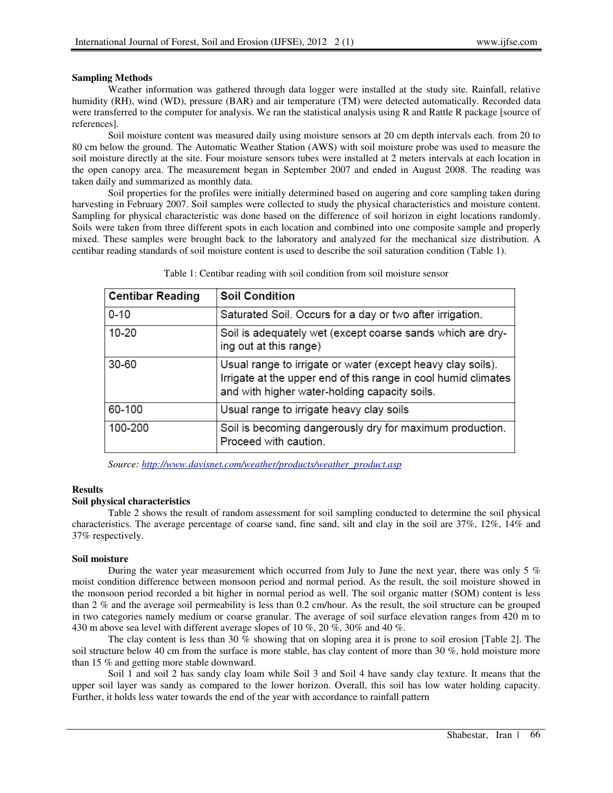## **Sampling Methods**

Weather information was gathered through data logger were installed at the study site. Rainfall, relative humidity (RH), wind (WD), pressure (BAR) and air temperature (TM) were detected automatically. Recorded data were transferred to the computer for analysis. We ran the statistical analysis using R and Rattle R package [source of references].

Soil moisture content was measured daily using moisture sensors at 20 cm depth intervals each. from 20 to 80 cm below the ground. The Automatic Weather Station (AWS) with soil moisture probe was used to measure the soil moisture directly at the site. Four moisture sensors tubes were installed at 2 meters intervals at each location in the open canopy area. The measurement began in September 2007 and ended in August 2008. The reading was taken daily and summarized as monthly data.

Soil properties for the profiles were initially determined based on augering and core sampling taken during harvesting in February 2007. Soil samples were collected to study the physical characteristics and moisture content. Sampling for physical characteristic was done based on the difference of soil horizon in eight locations randomly. Soils were taken from three different spots in each location and combined into one composite sample and properly mixed. These samples were brought back to the laboratory and analyzed for the mechanical size distribution. A centibar reading standards of soil moisture content is used to describe the soil saturation condition (Table 1).

| <b>Centibar Reading</b> | <b>Soil Condition</b>                                                                                                                                                          |
|-------------------------|--------------------------------------------------------------------------------------------------------------------------------------------------------------------------------|
| $0 - 10$                | Saturated Soil. Occurs for a day or two after irrigation.                                                                                                                      |
| 10-20                   | Soil is adequately wet (except coarse sands which are dry-<br>ing out at this range)                                                                                           |
| 30-60                   | Usual range to irrigate or water (except heavy clay soils).<br>Irrigate at the upper end of this range in cool humid climates<br>and with higher water-holding capacity soils. |
| 60-100                  | Usual range to irrigate heavy clay soils                                                                                                                                       |
| 100-200                 | Soil is becoming dangerously dry for maximum production.<br>Proceed with caution.                                                                                              |

Table 1: Centibar reading with soil condition from soil moisture sensor

*Source: http://www.davisnet.com/weather/products/weather\_product.asp*

## **Results**

## **Soil physical characteristics**

Table 2 shows the result of random assessment for soil sampling conducted to determine the soil physical characteristics. The average percentage of coarse sand, fine sand, silt and clay in the soil are 37%, 12%, 14% and 37% respectively.

## **Soil moisture**

During the water year measurement which occurred from July to June the next year, there was only 5 % moist condition difference between monsoon period and normal period. As the result, the soil moisture showed in the monsoon period recorded a bit higher in normal period as well. The soil organic matter (SOM) content is less than 2 % and the average soil permeability is less than 0.2 cm/hour. As the result, the soil structure can be grouped in two categories namely medium or coarse granular. The average of soil surface elevation ranges from 420 m to 430 m above sea level with different average slopes of 10 %, 20 %, 30% and 40 %.

The clay content is less than 30 % showing that on sloping area it is prone to soil erosion [Table 2]. The soil structure below 40 cm from the surface is more stable, has clay content of more than 30 %, hold moisture more than 15 % and getting more stable downward.

Soil 1 and soil 2 has sandy clay loam while Soil 3 and Soil 4 have sandy clay texture. It means that the upper soil layer was sandy as compared to the lower horizon. Overall, this soil has low water holding capacity. Further, it holds less water towards the end of the year with accordance to rainfall pattern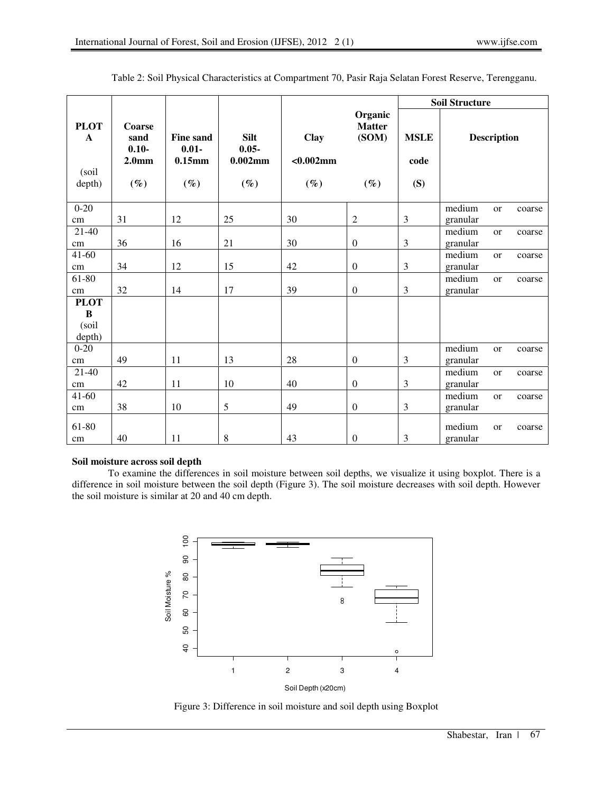|                                                 |                                                           |                                                     |                                                 |                                       |                                             | <b>Soil Structure</b>      |                    |                    |        |
|-------------------------------------------------|-----------------------------------------------------------|-----------------------------------------------------|-------------------------------------------------|---------------------------------------|---------------------------------------------|----------------------------|--------------------|--------------------|--------|
| <b>PLOT</b><br>$\mathbf{A}$<br>(soil)<br>depth) | Coarse<br>sand<br>$0.10 -$<br>2.0 <sub>mm</sub><br>$(\%)$ | <b>Fine sand</b><br>$0.01 -$<br>$0.15$ mm<br>$(\%)$ | <b>Silt</b><br>$0.05 -$<br>$0.002$ mm<br>$(\%)$ | <b>Clay</b><br>$< 0.002$ mm<br>$(\%)$ | Organic<br><b>Matter</b><br>(SOM)<br>$(\%)$ | <b>MSLE</b><br>code<br>(S) |                    | <b>Description</b> |        |
| $0 - 20$                                        |                                                           |                                                     |                                                 |                                       |                                             |                            | medium             | <sub>or</sub>      | coarse |
| cm                                              | 31                                                        | 12                                                  | 25                                              | 30                                    | $\overline{2}$                              | 3                          | granular           |                    |        |
| $21 - 40$<br>cm                                 | 36                                                        | 16                                                  | 21                                              | 30                                    | $\boldsymbol{0}$                            | $\overline{\mathbf{3}}$    | medium<br>granular | <sub>or</sub>      | coarse |
| $41 - 60$<br>cm                                 | 34                                                        | 12                                                  | 15                                              | 42                                    | $\mathbf{0}$                                | 3                          | medium<br>granular | <sub>or</sub>      | coarse |
| 61-80<br>cm                                     | 32                                                        | 14                                                  | 17                                              | 39                                    | $\mathbf{0}$                                | 3                          | medium<br>granular | <sub>or</sub>      | coarse |
| <b>PLOT</b><br>$\bf{B}$<br>(soil<br>depth)      |                                                           |                                                     |                                                 |                                       |                                             |                            |                    |                    |        |
| $0 - 20$<br>cm                                  | 49                                                        | 11                                                  | 13                                              | 28                                    | $\mathbf{0}$                                | 3                          | medium<br>granular | <b>or</b>          | coarse |
| $21 - 40$<br>cm                                 | 42                                                        | 11                                                  | 10                                              | 40                                    | $\mathbf{0}$                                | 3                          | medium<br>granular | <sub>or</sub>      | coarse |
| $41 - 60$<br>cm                                 | 38                                                        | 10                                                  | 5                                               | 49                                    | $\mathbf{0}$                                | 3                          | medium<br>granular | or                 | coarse |
| 61-80<br>cm                                     | 40                                                        | 11                                                  | $\,8\,$                                         | 43                                    | $\boldsymbol{0}$                            | 3                          | medium<br>granular | <b>or</b>          | coarse |

Table 2: Soil Physical Characteristics at Compartment 70, Pasir Raja Selatan Forest Reserve, Terengganu.

## **Soil moisture across soil depth**

To examine the differences in soil moisture between soil depths, we visualize it using boxplot. There is a difference in soil moisture between the soil depth (Figure 3). The soil moisture decreases with soil depth. However the soil moisture is similar at 20 and 40 cm depth.



Figure 3: Difference in soil moisture and soil depth using Boxplot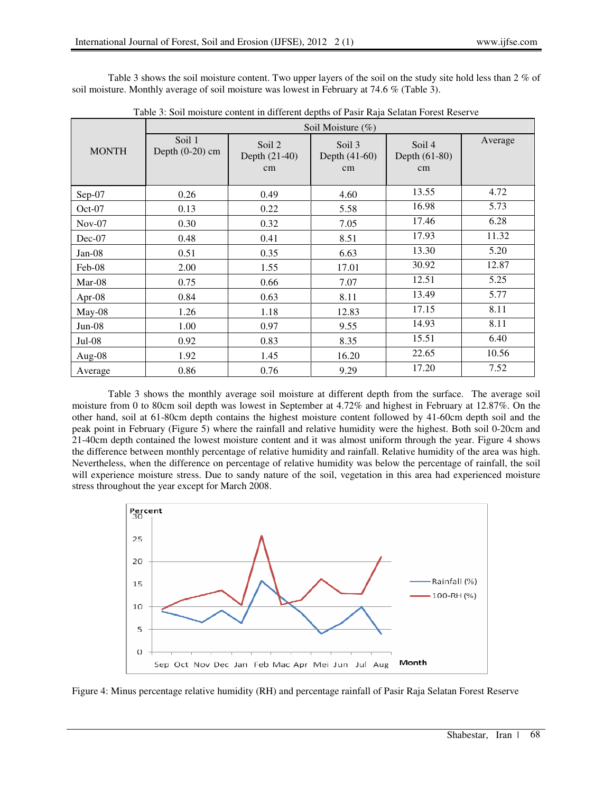Table 3 shows the soil moisture content. Two upper layers of the soil on the study site hold less than 2 % of soil moisture. Monthly average of soil moisture was lowest in February at 74.6 % (Table 3).

|              | Soil Moisture $(\%)$        |                               |                                          |                                 |         |  |  |
|--------------|-----------------------------|-------------------------------|------------------------------------------|---------------------------------|---------|--|--|
| <b>MONTH</b> | Soil 1<br>Depth $(0-20)$ cm | Soil 2<br>Depth (21-40)<br>cm | Soil <sub>3</sub><br>Depth (41-60)<br>cm | Soil 4<br>Depth $(61-80)$<br>cm | Average |  |  |
| $Sep-07$     | 0.26                        | 0.49                          | 4.60                                     | 13.55                           | 4.72    |  |  |
| $Oct-07$     | 0.13                        | 0.22                          | 5.58                                     | 16.98                           | 5.73    |  |  |
| $Nov-07$     | 0.30                        | 0.32                          | 7.05                                     | 17.46                           | 6.28    |  |  |
| $Dec-07$     | 0.48                        | 0.41                          | 8.51                                     | 17.93                           | 11.32   |  |  |
| $Jan-08$     | 0.51                        | 0.35                          | 6.63                                     | 13.30                           | 5.20    |  |  |
| Feb-08       | 2.00                        | 1.55                          | 17.01                                    | 30.92                           | 12.87   |  |  |
| $Mar-08$     | 0.75                        | 0.66                          | 7.07                                     | 12.51                           | 5.25    |  |  |
| Apr-08       | 0.84                        | 0.63                          | 8.11                                     | 13.49                           | 5.77    |  |  |
| $May-08$     | 1.26                        | 1.18                          | 12.83                                    | 17.15                           | 8.11    |  |  |
| $Jun-08$     | 1.00                        | 0.97                          | 9.55                                     | 14.93                           | 8.11    |  |  |
| $Jul-08$     | 0.92                        | 0.83                          | 8.35                                     | 15.51                           | 6.40    |  |  |
| Aug- $08$    | 1.92                        | 1.45                          | 16.20                                    | 22.65                           | 10.56   |  |  |
| Average      | 0.86                        | 0.76                          | 9.29                                     | 17.20                           | 7.52    |  |  |

Table 3: Soil moisture content in different depths of Pasir Raja Selatan Forest Reserve

Table 3 shows the monthly average soil moisture at different depth from the surface. The average soil moisture from 0 to 80cm soil depth was lowest in September at 4.72% and highest in February at 12.87%. On the other hand, soil at 61-80cm depth contains the highest moisture content followed by 41-60cm depth soil and the peak point in February (Figure 5) where the rainfall and relative humidity were the highest. Both soil 0-20cm and 21-40cm depth contained the lowest moisture content and it was almost uniform through the year. Figure 4 shows the difference between monthly percentage of relative humidity and rainfall. Relative humidity of the area was high. Nevertheless, when the difference on percentage of relative humidity was below the percentage of rainfall, the soil will experience moisture stress. Due to sandy nature of the soil, vegetation in this area had experienced moisture stress throughout the year except for March 2008.



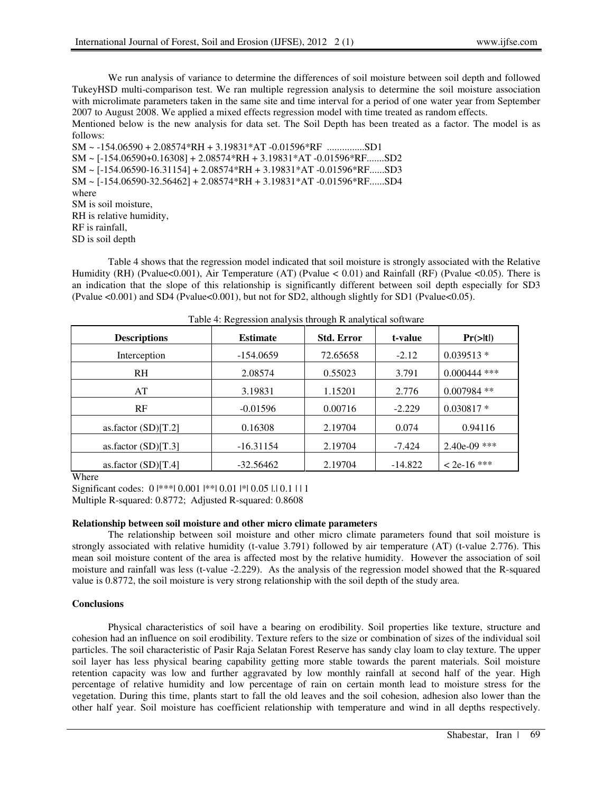We run analysis of variance to determine the differences of soil moisture between soil depth and followed TukeyHSD multi-comparison test. We ran multiple regression analysis to determine the soil moisture association with microlimate parameters taken in the same site and time interval for a period of one water year from September 2007 to August 2008. We applied a mixed effects regression model with time treated as random effects.

Mentioned below is the new analysis for data set. The Soil Depth has been treated as a factor. The model is as follows:

SM ~ -154.06590 + 2.08574\*RH + 3.19831\*AT -0.01596\*RF ...............SD1 SM ~ [-154.06590+0.16308] + 2.08574\*RH + 3.19831\*AT -0.01596\*RF.......SD2 SM ~ [-154.06590-16.31154] + 2.08574\*RH + 3.19831\*AT -0.01596\*RF......SD3 SM ~ [-154.06590-32.56462] + 2.08574\*RH + 3.19831\*AT -0.01596\*RF......SD4 where SM is soil moisture, RH is relative humidity, RF is rainfall, SD is soil depth

Table 4 shows that the regression model indicated that soil moisture is strongly associated with the Relative Humidity (RH) (Pvalue<0.001), Air Temperature (AT) (Pvalue < 0.01) and Rainfall (RF) (Pvalue <0.05). There is an indication that the slope of this relationship is significantly different between soil depth especially for SD3 (Pvalue <0.001) and SD4 (Pvalue<0.001), but not for SD2, although slightly for SD1 (Pvalue<0.05).

|                       | $\circ$         | $\circ$           |           |                      |  |
|-----------------------|-----------------|-------------------|-----------|----------------------|--|
| <b>Descriptions</b>   | <b>Estimate</b> | <b>Std. Error</b> | t-value   | $Pr(>\vert t \vert)$ |  |
| Interception          | $-154.0659$     | 72.65658          | $-2.12$   | $0.039513*$          |  |
| R <sub>H</sub>        | 2.08574         | 0.55023           | 3.791     | $0.000444$ ***       |  |
| AT                    | 3.19831         | 1.15201           | 2.776     | $0.007984$ **        |  |
| RF                    | $-0.01596$      | 0.00716           | $-2.229$  | $0.030817*$          |  |
| as.factor $(SD)[T.2]$ | 0.16308         | 2.19704           | 0.074     | 0.94116              |  |
| as.factor $(SD)[T.3]$ | $-16.31154$     | 2.19704           | $-7.424$  | $2.40e-09$ ***       |  |
| as.factor $(SD)[T.4]$ | $-32.56462$     | 2.19704           | $-14.822$ | $<$ 2e-16 ***        |  |

Table 4: Regression analysis through R analytical software

Where

Significant codes:  $0 \mid *** \mid 0.001 \mid ** \mid 0.01 \mid * \mid 0.05 \mid .\mid 0.1 \mid \mid 1$ 

Multiple R-squared: 0.8772; Adjusted R-squared: 0.8608

## **Relationship between soil moisture and other micro climate parameters**

The relationship between soil moisture and other micro climate parameters found that soil moisture is strongly associated with relative humidity (t-value 3.791) followed by air temperature (AT) (t-value 2.776). This mean soil moisture content of the area is affected most by the relative humidity. However the association of soil moisture and rainfall was less (t-value -2.229). As the analysis of the regression model showed that the R-squared value is 0.8772, the soil moisture is very strong relationship with the soil depth of the study area.

#### **Conclusions**

Physical characteristics of soil have a bearing on erodibility. Soil properties like texture, structure and cohesion had an influence on soil erodibility. Texture refers to the size or combination of sizes of the individual soil particles. The soil characteristic of Pasir Raja Selatan Forest Reserve has sandy clay loam to clay texture. The upper soil layer has less physical bearing capability getting more stable towards the parent materials. Soil moisture retention capacity was low and further aggravated by low monthly rainfall at second half of the year. High percentage of relative humidity and low percentage of rain on certain month lead to moisture stress for the vegetation. During this time, plants start to fall the old leaves and the soil cohesion, adhesion also lower than the other half year. Soil moisture has coefficient relationship with temperature and wind in all depths respectively.